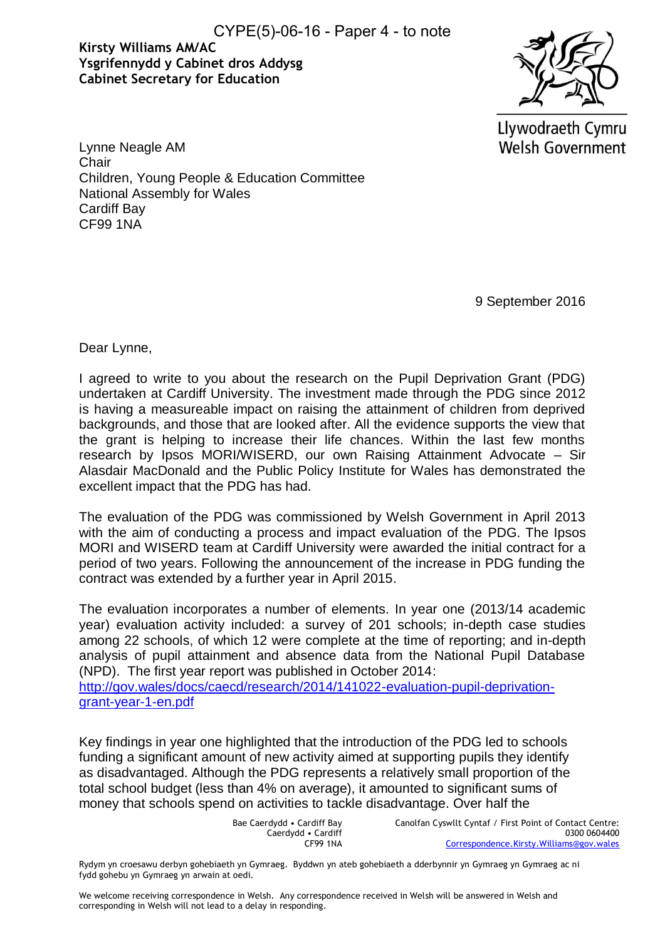CYPE(5)-06-16 - Paper 4 - to note

## **Kirsty Williams AM/AC Ysgrifennydd y Cabinet dros Addysg Cabinet Secretary for Education**



Llywodraeth Cymru **Welsh Government** 

Lynne Neagle AM **Chair** Children, Young People & Education Committee National Assembly for Wales Cardiff Bay CF99 1NA

9 September 2016

Dear Lynne,

I agreed to write to you about the research on the Pupil Deprivation Grant (PDG) undertaken at Cardiff University. The investment made through the PDG since 2012 is having a measureable impact on raising the attainment of children from deprived backgrounds, and those that are looked after. All the evidence supports the view that the grant is helping to increase their life chances. Within the last few months research by Ipsos MORI/WISERD, our own Raising Attainment Advocate – Sir Alasdair MacDonald and the Public Policy Institute for Wales has demonstrated the excellent impact that the PDG has had.

The evaluation of the PDG was commissioned by Welsh Government in April 2013 with the aim of conducting a process and impact evaluation of the PDG. The Ipsos MORI and WISERD team at Cardiff University were awarded the initial contract for a period of two years. Following the announcement of the increase in PDG funding the contract was extended by a further year in April 2015.

The evaluation incorporates a number of elements. In year one (2013/14 academic year) evaluation activity included: a survey of 201 schools; in-depth case studies among 22 schools, of which 12 were complete at the time of reporting; and in-depth analysis of pupil attainment and absence data from the National Pupil Database (NPD). The first year report was published in October 2014:

[http://gov.wales/docs/caecd/research/2014/141022-evaluation-pupil-deprivation](http://gov.wales/docs/caecd/research/2014/141022-evaluation-pupil-deprivation-grant-year-1-en.pdf)[grant-year-1-en.pdf](http://gov.wales/docs/caecd/research/2014/141022-evaluation-pupil-deprivation-grant-year-1-en.pdf) 

Key findings in year one highlighted that the introduction of the PDG led to schools funding a significant amount of new activity aimed at supporting pupils they identify as disadvantaged. Although the PDG represents a relatively small proportion of the total school budget (less than 4% on average), it amounted to significant sums of money that schools spend on activities to tackle disadvantage. Over half the

> Bae Caerdydd • Cardiff Bay Caerdydd • Cardiff CF99 1NA

Canolfan Cyswllt Cyntaf / First Point of Contact Centre: 0300 0604400 [Correspondence.Kirsty.Williams@gov.wales](mailto:Correspondence.Kirsty.Williams@gov.wales)

Rydym yn croesawu derbyn gohebiaeth yn Gymraeg. Byddwn yn ateb gohebiaeth a dderbynnir yn Gymraeg yn Gymraeg ac ni fydd gohebu yn Gymraeg yn arwain at oedi.

We welcome receiving correspondence in Welsh. Any correspondence received in Welsh will be answered in Welsh and corresponding in Welsh will not lead to a delay in responding.